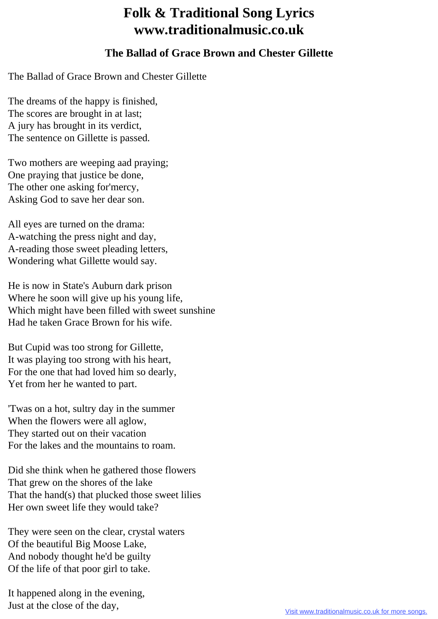## **Folk & Traditional Song Lyrics www.traditionalmusic.co.uk**

## **The Ballad of Grace Brown and Chester Gillette**

The Ballad of Grace Brown and Chester Gillette

The dreams of the happy is finished, The scores are brought in at last; A jury has brought in its verdict, The sentence on Gillette is passed.

Two mothers are weeping aad praying; One praying that justice be done, The other one asking for'mercy, Asking God to save her dear son.

All eyes are turned on the drama: A-watching the press night and day, A-reading those sweet pleading letters, Wondering what Gillette would say.

He is now in State's Auburn dark prison Where he soon will give up his young life, Which might have been filled with sweet sunshine Had he taken Grace Brown for his wife.

But Cupid was too strong for Gillette, It was playing too strong with his heart, For the one that had loved him so dearly, Yet from her he wanted to part.

'Twas on a hot, sultry day in the summer When the flowers were all aglow, They started out on their vacation For the lakes and the mountains to roam.

Did she think when he gathered those flowers That grew on the shores of the lake That the hand(s) that plucked those sweet lilies Her own sweet life they would take?

They were seen on the clear, crystal waters Of the beautiful Big Moose Lake, And nobody thought he'd be guilty Of the life of that poor girl to take.

It happened along in the evening, Just at the close of the day,